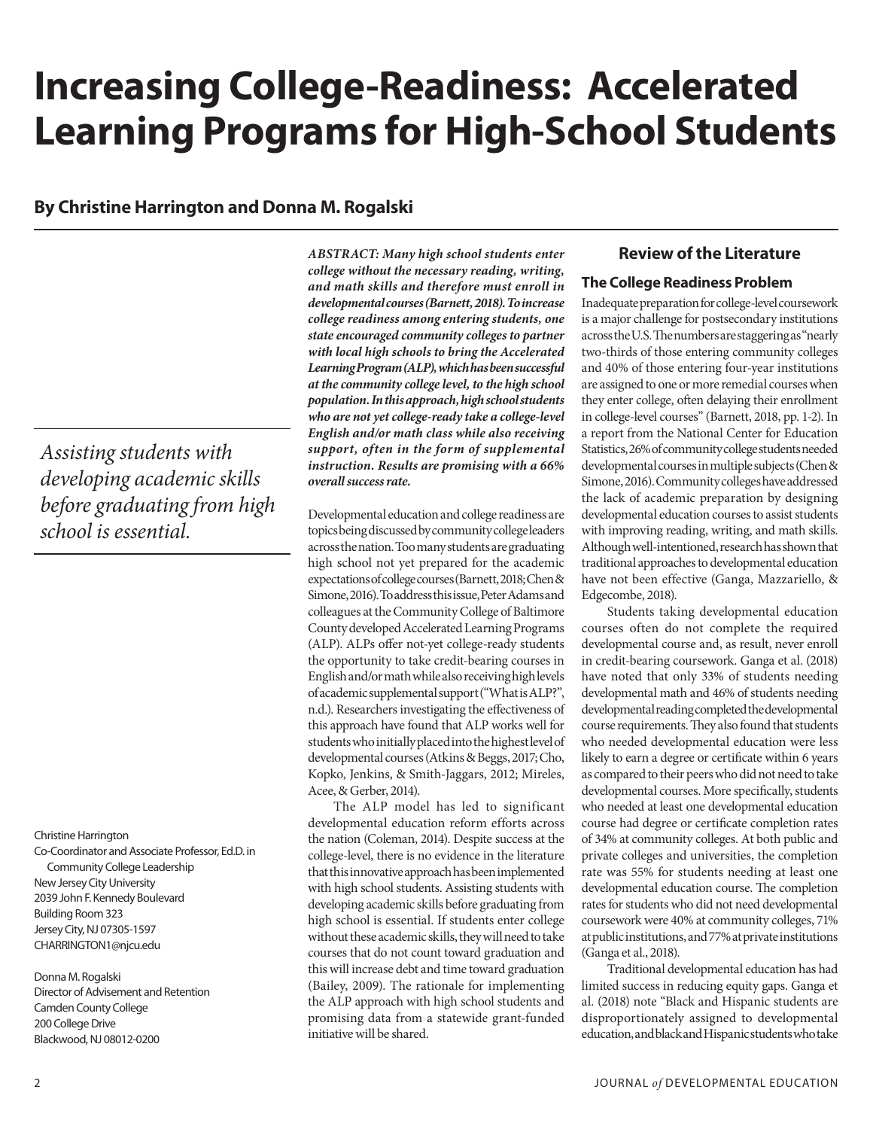# **Increasing College-Readiness: Accelerated Learning Programs for High-School Students**

# **By Christine Harrington and Donna M. Rogalski**

*Assisting students with developing academic skills before graduating from high school is essential.*

Christine Harrington

Co-Coordinator and Associate Professor, Ed.D. in Community College Leadership New Jersey City University 2039 John F. Kennedy Boulevard Building Room 323 Jersey City, NJ 07305-1597 CHARRINGTON1@njcu.edu

Donna M. Rogalski Director of Advisement and Retention Camden County College 200 College Drive Blackwood, NJ 08012-0200

*ABSTRACT: Many high school students enter college without the necessary reading, writing, and math skills and therefore must enroll in developmental courses (Barnett, 2018). To increase college readiness among entering students, one state encouraged community colleges to partner with local high schools to bring the Accelerated Learning Program (ALP), which has been successful at the community college level, to the high school population. In this approach, high school students who are not yet college-ready take a college-level English and/or math class while also receiving support, often in the form of supplemental instruction. Results are promising with a 66% overall success rate.*

Developmental education and college readiness are topics being discussed by community college leaders across the nation. Too many students are graduating high school not yet prepared for the academic expectations of college courses (Barnett, 2018; Chen & Simone, 2016). To address this issue, Peter Adams and colleagues at the Community College of Baltimore County developed Accelerated Learning Programs (ALP). ALPs offer not-yet college-ready students the opportunity to take credit-bearing courses in English and/or math while also receiving high levels of academic supplemental support ("What is ALP?", n.d.). Researchers investigating the effectiveness of this approach have found that ALP works well for students who initially placed into the highest level of developmental courses (Atkins & Beggs, 2017; Cho, Kopko, Jenkins, & Smith-Jaggars, 2012; Mireles, Acee, & Gerber, 2014).

The ALP model has led to significant developmental education reform efforts across the nation (Coleman, 2014). Despite success at the college-level, there is no evidence in the literature that this innovative approach has been implemented with high school students. Assisting students with developing academic skills before graduating from high school is essential. If students enter college without these academic skills, they will need to take courses that do not count toward graduation and this will increase debt and time toward graduation (Bailey, 2009). The rationale for implementing the ALP approach with high school students and promising data from a statewide grant-funded initiative will be shared.

# **Review of the Literature**

#### **The College Readiness Problem**

Inadequate preparation for college-level coursework is a major challenge for postsecondary institutions across the U.S. The numbers are staggering as "nearly two-thirds of those entering community colleges and 40% of those entering four-year institutions are assigned to one or more remedial courses when they enter college, often delaying their enrollment in college-level courses" (Barnett, 2018, pp. 1-2). In a report from the National Center for Education Statistics, 26% of community college students needed developmental courses in multiple subjects (Chen & Simone, 2016). Community colleges have addressed the lack of academic preparation by designing developmental education courses to assist students with improving reading, writing, and math skills. Although well-intentioned, research has shown that traditional approaches to developmental education have not been effective (Ganga, Mazzariello, & Edgecombe, 2018).

Students taking developmental education courses often do not complete the required developmental course and, as result, never enroll in credit-bearing coursework. Ganga et al. (2018) have noted that only 33% of students needing developmental math and 46% of students needing developmental reading completed the developmental course requirements. They also found that students who needed developmental education were less likely to earn a degree or certificate within 6 years as compared to their peers who did not need to take developmental courses. More specifically, students who needed at least one developmental education course had degree or certificate completion rates of 34% at community colleges. At both public and private colleges and universities, the completion rate was 55% for students needing at least one developmental education course. The completion rates for students who did not need developmental coursework were 40% at community colleges, 71% at public institutions, and 77% at private institutions (Ganga et al., 2018).

Traditional developmental education has had limited success in reducing equity gaps. Ganga et al. (2018) note "Black and Hispanic students are disproportionately assigned to developmental education, and black and Hispanic students who take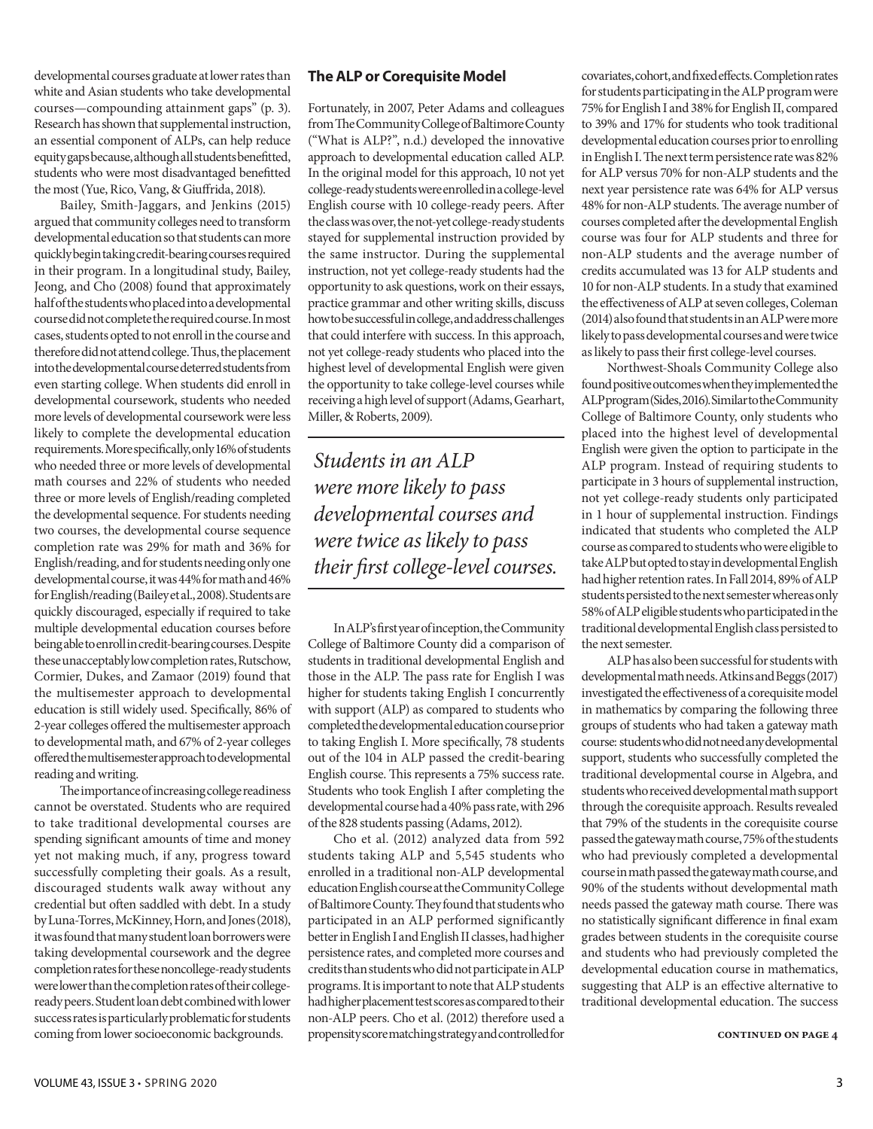developmental courses graduate at lower rates than white and Asian students who take developmental courses—compounding attainment gaps" (p. 3). Research has shown that supplemental instruction, an essential component of ALPs, can help reduce equity gaps because, although all students benefitted, students who were most disadvantaged benefitted the most (Yue, Rico, Vang, & Giuffrida, 2018).

Bailey, Smith-Jaggars, and Jenkins (2015) argued that community colleges need to transform developmental education so that students can more quickly begin taking credit-bearing courses required in their program. In a longitudinal study, Bailey, Jeong, and Cho (2008) found that approximately half of the students who placed into a developmental course did not complete the required course. In most cases, students opted to not enroll in the course and therefore did not attend college. Thus, the placement into the developmental course deterred students from even starting college. When students did enroll in developmental coursework, students who needed more levels of developmental coursework were less likely to complete the developmental education requirements. More specifically, only 16% of students who needed three or more levels of developmental math courses and 22% of students who needed three or more levels of English/reading completed the developmental sequence. For students needing two courses, the developmental course sequence completion rate was 29% for math and 36% for English/reading, and for students needing only one developmental course, it was 44% for math and 46% for English/reading (Bailey et al., 2008). Students are quickly discouraged, especially if required to take multiple developmental education courses before being able to enroll in credit-bearing courses. Despite these unacceptably low completion rates, Rutschow, Cormier, Dukes, and Zamaor (2019) found that the multisemester approach to developmental education is still widely used. Specifically, 86% of 2-year colleges offered the multisemester approach to developmental math, and 67% of 2-year colleges offered the multisemester approach to developmental reading and writing.

The importance of increasing college readiness cannot be overstated. Students who are required to take traditional developmental courses are spending significant amounts of time and money yet not making much, if any, progress toward successfully completing their goals. As a result, discouraged students walk away without any credential but often saddled with debt. In a study by Luna-Torres, McKinney, Horn, and Jones (2018), it was found that many student loan borrowers were taking developmental coursework and the degree completion rates for these noncollege-ready students were lower than the completion rates of their collegeready peers. Student loan debt combined with lower success rates is particularly problematic for students coming from lower socioeconomic backgrounds.

#### **The ALP or Corequisite Model**

Fortunately, in 2007, Peter Adams and colleagues from The Community College of Baltimore County ("What is ALP?", n.d.) developed the innovative approach to developmental education called ALP. In the original model for this approach, 10 not yet college-ready students were enrolled in a college-level English course with 10 college-ready peers. After the class was over, the not-yet college-ready students stayed for supplemental instruction provided by the same instructor. During the supplemental instruction, not yet college-ready students had the opportunity to ask questions, work on their essays, practice grammar and other writing skills, discuss how to be successful in college, and address challenges that could interfere with success. In this approach, not yet college-ready students who placed into the highest level of developmental English were given the opportunity to take college-level courses while receiving a high level of support (Adams, Gearhart, Miller, & Roberts, 2009).

*Students in an ALP were more likely to pass developmental courses and were twice as likely to pass their first college-level courses.*

In ALP's first year of inception, the Community College of Baltimore County did a comparison of students in traditional developmental English and those in the ALP. The pass rate for English I was higher for students taking English I concurrently with support (ALP) as compared to students who completed the developmental education course prior to taking English I. More specifically, 78 students out of the 104 in ALP passed the credit-bearing English course. This represents a 75% success rate. Students who took English I after completing the developmental course had a 40% pass rate, with 296 of the 828 students passing (Adams, 2012).

Cho et al. (2012) analyzed data from 592 students taking ALP and 5,545 students who enrolled in a traditional non-ALP developmental education English course at the Community College of Baltimore County. They found that students who participated in an ALP performed significantly better in English I and English II classes, had higher persistence rates, and completed more courses and credits than students who did not participate in ALP programs. It is important to note that ALP students had higher placement test scores as compared to their non-ALP peers. Cho et al. (2012) therefore used a propensity score matching strategy and controlled for

covariates, cohort, and fixed effects. Completion rates for students participating in the ALP program were 75% for English I and 38% for English II, compared to 39% and 17% for students who took traditional developmental education courses prior to enrolling in English I. The next term persistence rate was 82% for ALP versus 70% for non-ALP students and the next year persistence rate was 64% for ALP versus 48% for non-ALP students. The average number of courses completed after the developmental English course was four for ALP students and three for non-ALP students and the average number of credits accumulated was 13 for ALP students and 10 for non-ALP students. In a study that examined the effectiveness of ALP at seven colleges, Coleman (2014) also found that students in an ALP were more likely to pass developmental courses and were twice as likely to pass their first college-level courses.

Northwest-Shoals Community College also found positive outcomes when they implemented the ALP program (Sides, 2016). Similar to the Community College of Baltimore County, only students who placed into the highest level of developmental English were given the option to participate in the ALP program. Instead of requiring students to participate in 3 hours of supplemental instruction, not yet college-ready students only participated in 1 hour of supplemental instruction. Findings indicated that students who completed the ALP course as compared to students who were eligible to take ALP but opted to stay in developmental English had higher retention rates. In Fall 2014, 89% of ALP students persisted to the next semester whereas only 58% of ALP eligible students who participated in the traditional developmental English class persisted to the next semester.

ALP has also been successful for students with developmental math needs. Atkins and Beggs (2017) investigated the effectiveness of a corequisite model in mathematics by comparing the following three groups of students who had taken a gateway math course: students who did not need any developmental support, students who successfully completed the traditional developmental course in Algebra, and students who received developmental math support through the corequisite approach. Results revealed that 79% of the students in the corequisite course passed the gateway math course, 75% of the students who had previously completed a developmental course in math passed the gateway math course, and 90% of the students without developmental math needs passed the gateway math course. There was no statistically significant difference in final exam grades between students in the corequisite course and students who had previously completed the developmental education course in mathematics, suggesting that ALP is an effective alternative to traditional developmental education. The success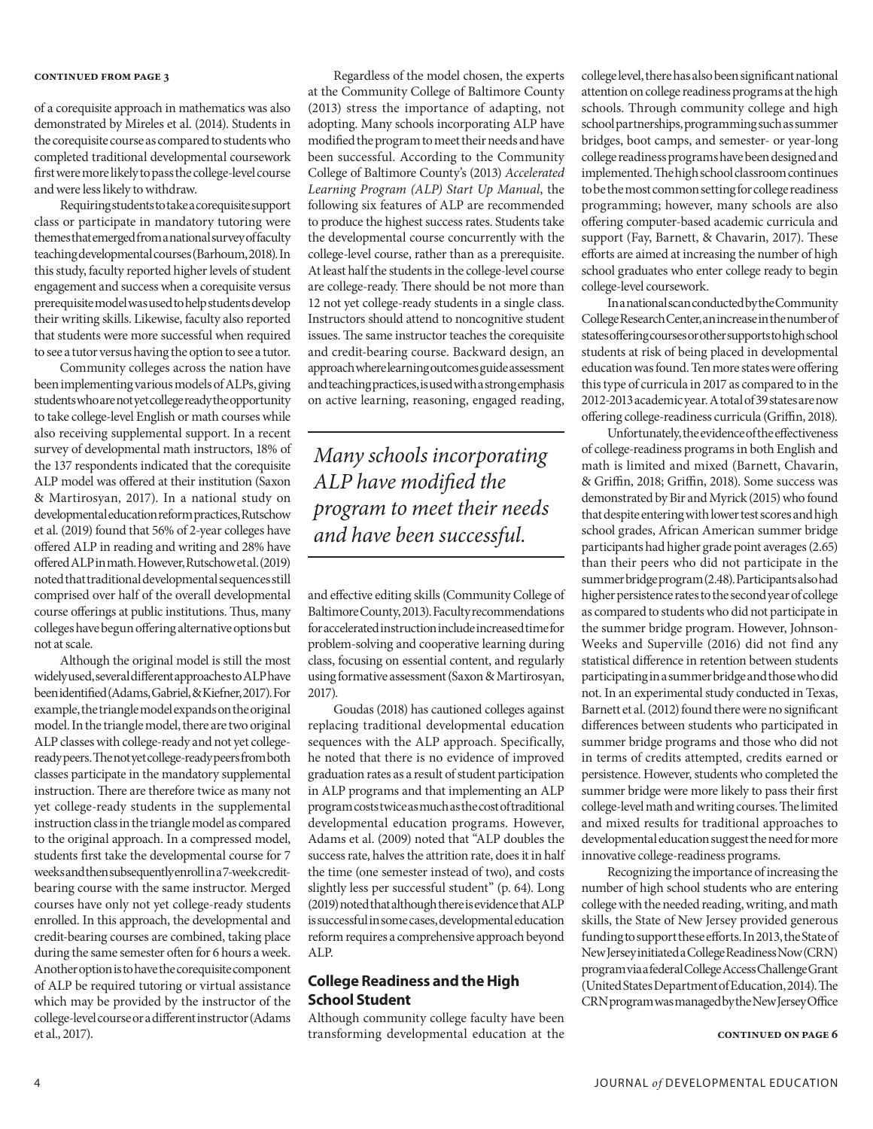of a corequisite approach in mathematics was also demonstrated by Mireles et al. (2014). Students in the corequisite course as compared to students who completed traditional developmental coursework first were more likely to pass the college-level course and were less likely to withdraw.

Requiring students to take a corequisite support class or participate in mandatory tutoring were themes that emerged from a national survey of faculty teaching developmental courses (Barhoum, 2018). In this study, faculty reported higher levels of student engagement and success when a corequisite versus prerequisite model was used to help students develop their writing skills. Likewise, faculty also reported that students were more successful when required to see a tutor versus having the option to see a tutor.

Community colleges across the nation have been implementing various models of ALPs, giving students who are not yet college ready the opportunity to take college-level English or math courses while also receiving supplemental support. In a recent survey of developmental math instructors, 18% of the 137 respondents indicated that the corequisite ALP model was offered at their institution (Saxon & Martirosyan, 2017). In a national study on developmental education reform practices, Rutschow et al. (2019) found that 56% of 2-year colleges have offered ALP in reading and writing and 28% have offered ALP in math. However, Rutschow et al. (2019) noted that traditional developmental sequences still comprised over half of the overall developmental course offerings at public institutions. Thus, many colleges have begun offering alternative options but not at scale.

Although the original model is still the most widely used, several different approaches to ALP have been identified (Adams, Gabriel, & Kiefner, 2017). For example, the triangle model expands on the original model. In the triangle model, there are two original ALP classes with college-ready and not yet collegeready peers. The not yet college-ready peers from both classes participate in the mandatory supplemental instruction. There are therefore twice as many not yet college-ready students in the supplemental instruction class in the triangle model as compared to the original approach. In a compressed model, students first take the developmental course for 7 weeks and then subsequently enroll in a 7-week creditbearing course with the same instructor. Merged courses have only not yet college-ready students enrolled. In this approach, the developmental and credit-bearing courses are combined, taking place during the same semester often for 6 hours a week. Another option is to have the corequisite component of ALP be required tutoring or virtual assistance which may be provided by the instructor of the college-level course or a different instructor (Adams et al., 2017).

Regardless of the model chosen, the experts at the Community College of Baltimore County (2013) stress the importance of adapting, not adopting. Many schools incorporating ALP have modified the program to meet their needs and have been successful. According to the Community College of Baltimore County's (2013) *Accelerated Learning Program (ALP) Start Up Manual*, the following six features of ALP are recommended to produce the highest success rates. Students take the developmental course concurrently with the college-level course, rather than as a prerequisite. At least half the students in the college-level course are college-ready. There should be not more than 12 not yet college-ready students in a single class. Instructors should attend to noncognitive student issues. The same instructor teaches the corequisite and credit-bearing course. Backward design, an approach where learning outcomes guide assessment and teaching practices, is used with a strong emphasis on active learning, reasoning, engaged reading,

*Many schools incorporating ALP have modified the program to meet their needs and have been successful.*

and effective editing skills (Community College of Baltimore County, 2013). Faculty recommendations for accelerated instruction include increased time for problem-solving and cooperative learning during class, focusing on essential content, and regularly using formative assessment (Saxon & Martirosyan, 2017).

Goudas (2018) has cautioned colleges against replacing traditional developmental education sequences with the ALP approach. Specifically, he noted that there is no evidence of improved graduation rates as a result of student participation in ALP programs and that implementing an ALP program costs twice as much as the cost of traditional developmental education programs. However, Adams et al. (2009) noted that "ALP doubles the success rate, halves the attrition rate, does it in half the time (one semester instead of two), and costs slightly less per successful student" (p. 64). Long (2019) noted that although there is evidence that ALP is successful in some cases, developmental education reform requires a comprehensive approach beyond ALP.

#### **College Readiness and the High School Student**

Although community college faculty have been transforming developmental education at the college level, there has also been significant national attention on college readiness programs at the high schools. Through community college and high school partnerships, programming such as summer bridges, boot camps, and semester- or year-long college readiness programs have been designed and implemented. The high school classroom continues to be the most common setting for college readiness programming; however, many schools are also offering computer-based academic curricula and support (Fay, Barnett, & Chavarin, 2017). These efforts are aimed at increasing the number of high school graduates who enter college ready to begin college-level coursework.

In a national scan conducted by the Community College Research Center, an increase in the number of states offering courses or other supports to high school students at risk of being placed in developmental education was found. Ten more states were offering this type of curricula in 2017 as compared to in the 2012-2013 academic year. A total of 39 states are now offering college-readiness curricula (Griffin, 2018).

Unfortunately, the evidence of the effectiveness of college-readiness programs in both English and math is limited and mixed (Barnett, Chavarin, & Griffin, 2018; Griffin, 2018). Some success was demonstrated by Bir and Myrick (2015) who found that despite entering with lower test scores and high school grades, African American summer bridge participants had higher grade point averages (2.65) than their peers who did not participate in the summer bridge program (2.48). Participants also had higher persistence rates to the second year of college as compared to students who did not participate in the summer bridge program. However, Johnson-Weeks and Superville (2016) did not find any statistical difference in retention between students participating in a summer bridge and those who did not. In an experimental study conducted in Texas, Barnett et al. (2012) found there were no significant differences between students who participated in summer bridge programs and those who did not in terms of credits attempted, credits earned or persistence. However, students who completed the summer bridge were more likely to pass their first college-level math and writing courses. The limited and mixed results for traditional approaches to developmental education suggest the need for more innovative college-readiness programs.

Recognizing the importance of increasing the number of high school students who are entering college with the needed reading, writing, and math skills, the State of New Jersey provided generous funding to support these efforts. In 2013, the State of New Jersey initiated a College Readiness Now (CRN) program via a federal College Access Challenge Grant (United States Department of Education, 2014). The CRN program was managed by the New Jersey Office

**continued on page 6**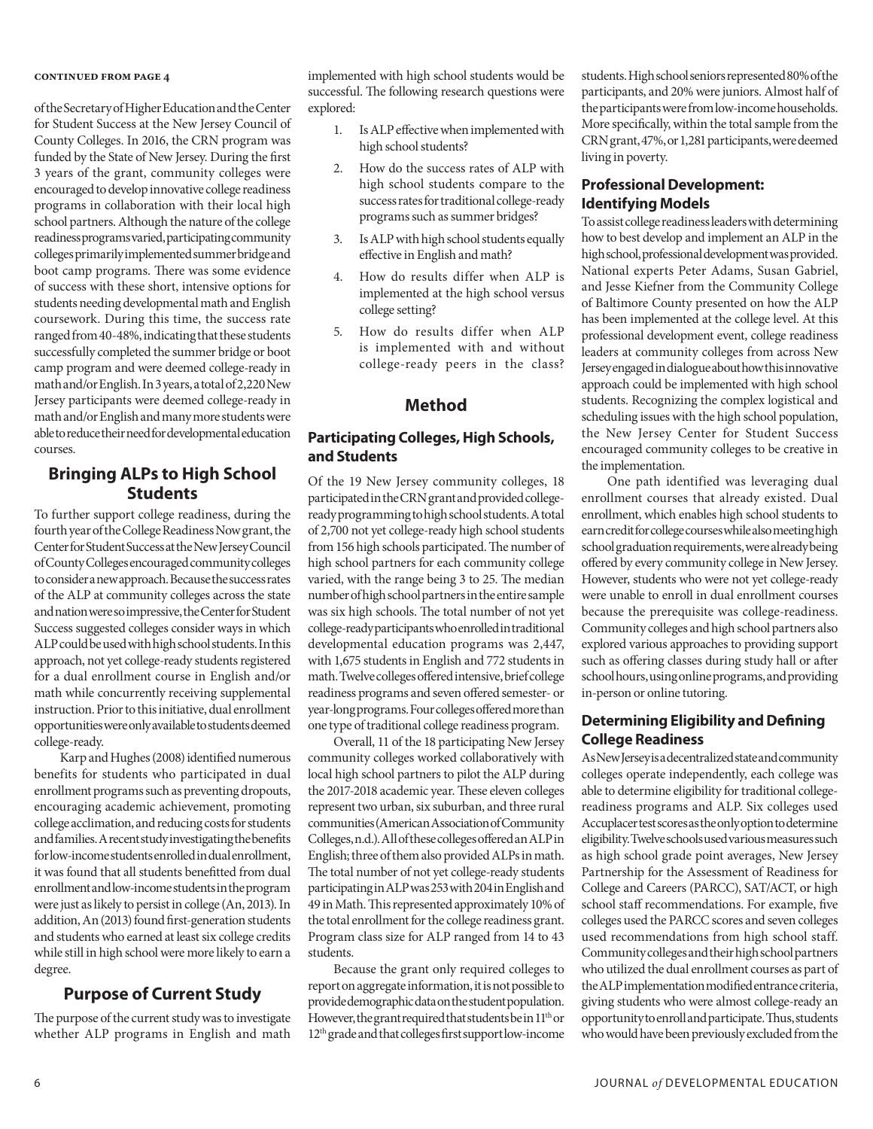of the Secretary of Higher Education and the Center for Student Success at the New Jersey Council of County Colleges. In 2016, the CRN program was funded by the State of New Jersey. During the first 3 years of the grant, community colleges were encouraged to develop innovative college readiness programs in collaboration with their local high school partners. Although the nature of the college readiness programs varied, participating community colleges primarily implemented summer bridge and boot camp programs. There was some evidence of success with these short, intensive options for students needing developmental math and English coursework. During this time, the success rate ranged from 40-48%, indicating that these students successfully completed the summer bridge or boot camp program and were deemed college-ready in math and/or English. In 3 years, a total of 2,220 New Jersey participants were deemed college-ready in math and/or English and many more students were able to reduce their need for developmental education courses.

# **Bringing ALPs to High School Students**

To further support college readiness, during the fourth year of the College Readiness Now grant, the Center for Student Success at the New Jersey Council of County Colleges encouraged community colleges to consider a new approach. Because the success rates of the ALP at community colleges across the state and nation were so impressive, the Center for Student Success suggested colleges consider ways in which ALP could be used with high school students. In this approach, not yet college-ready students registered for a dual enrollment course in English and/or math while concurrently receiving supplemental instruction. Prior to this initiative, dual enrollment opportunities were only available to students deemed college-ready.

Karp and Hughes (2008) identified numerous benefits for students who participated in dual enrollment programs such as preventing dropouts, encouraging academic achievement, promoting college acclimation, and reducing costs for students and families. A recent study investigating the benefits for low-income students enrolled in dual enrollment, it was found that all students benefitted from dual enrollment and low-income students in the program were just as likely to persist in college (An, 2013). In addition, An (2013) found first-generation students and students who earned at least six college credits while still in high school were more likely to earn a degree.

# **Purpose of Current Study**

The purpose of the current study was to investigate whether ALP programs in English and math implemented with high school students would be successful. The following research questions were explored:

- 1. Is ALP effective when implemented with high school students?
- 2. How do the success rates of ALP with high school students compare to the success rates for traditional college-ready programs such as summer bridges?
- 3. Is ALP with high school students equally effective in English and math?
- 4. How do results differ when ALP is implemented at the high school versus college setting?
- 5. How do results differ when ALP is implemented with and without college-ready peers in the class?

# **Method**

### **Participating Colleges, High Schools, and Students**

Of the 19 New Jersey community colleges, 18 participated in the CRN grant and provided collegeready programming to high school students. A total of 2,700 not yet college-ready high school students from 156 high schools participated. The number of high school partners for each community college varied, with the range being 3 to 25. The median number of high school partners in the entire sample was six high schools. The total number of not yet college-ready participants who enrolled in traditional developmental education programs was 2,447, with 1,675 students in English and 772 students in math. Twelve colleges offered intensive, brief college readiness programs and seven offered semester- or year-long programs. Four colleges offered more than one type of traditional college readiness program.

Overall, 11 of the 18 participating New Jersey community colleges worked collaboratively with local high school partners to pilot the ALP during the 2017-2018 academic year. These eleven colleges represent two urban, six suburban, and three rural communities (American Association of Community Colleges, n.d.). All of these colleges offered an ALP in English; three of them also provided ALPs in math. The total number of not yet college-ready students participating in ALP was 253 with 204 in English and 49 in Math. This represented approximately 10% of the total enrollment for the college readiness grant. Program class size for ALP ranged from 14 to 43 students.

Because the grant only required colleges to report on aggregate information, it is not possible to provide demographic data on the student population. However, the grant required that students be in 11<sup>th</sup> or 12th grade and that colleges first support low-income

students. High school seniors represented 80% of the participants, and 20% were juniors. Almost half of the participants were from low-income households. More specifically, within the total sample from the CRN grant, 47%, or 1,281 participants, were deemed living in poverty.

### **Professional Development: Identifying Models**

To assist college readiness leaders with determining how to best develop and implement an ALP in the high school, professional development was provided. National experts Peter Adams, Susan Gabriel, and Jesse Kiefner from the Community College of Baltimore County presented on how the ALP has been implemented at the college level. At this professional development event, college readiness leaders at community colleges from across New Jersey engaged in dialogue about how this innovative approach could be implemented with high school students. Recognizing the complex logistical and scheduling issues with the high school population, the New Jersey Center for Student Success encouraged community colleges to be creative in the implementation.

One path identified was leveraging dual enrollment courses that already existed. Dual enrollment, which enables high school students to earn credit for college courses while also meeting high school graduation requirements, were already being offered by every community college in New Jersey. However, students who were not yet college-ready were unable to enroll in dual enrollment courses because the prerequisite was college-readiness. Community colleges and high school partners also explored various approaches to providing support such as offering classes during study hall or after school hours, using online programs, and providing in-person or online tutoring.

# **Determining Eligibility and Defining College Readiness**

As New Jersey is a decentralized state and community colleges operate independently, each college was able to determine eligibility for traditional collegereadiness programs and ALP. Six colleges used Accuplacer test scores as the only option to determine eligibility. Twelve schools used various measures such as high school grade point averages, New Jersey Partnership for the Assessment of Readiness for College and Careers (PARCC), SAT/ACT, or high school staff recommendations. For example, five colleges used the PARCC scores and seven colleges used recommendations from high school staff. Community colleges and their high school partners who utilized the dual enrollment courses as part of the ALP implementation modified entrance criteria, giving students who were almost college-ready an opportunity to enroll and participate. Thus, students who would have been previously excluded from the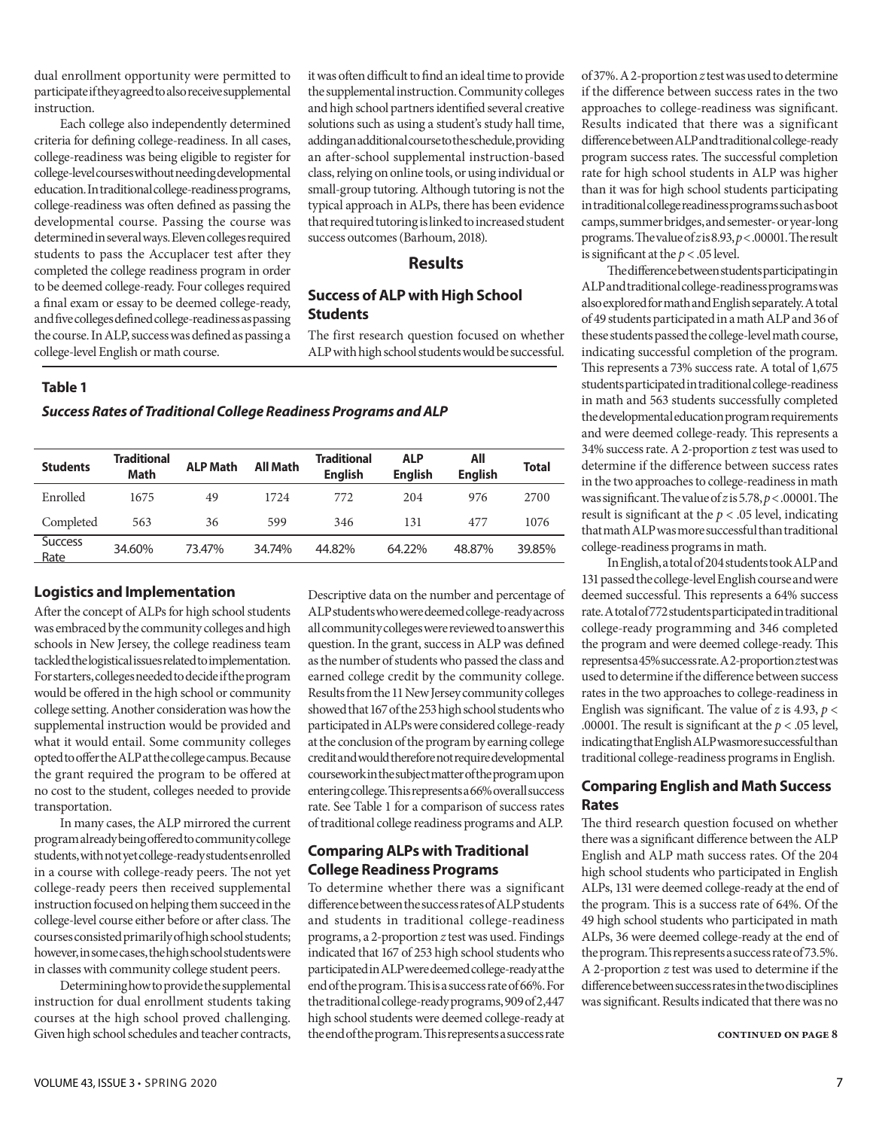dual enrollment opportunity were permitted to participate if they agreed to also receive supplemental instruction.

Each college also independently determined criteria for defining college-readiness. In all cases, college-readiness was being eligible to register for college-level courses without needing developmental education. In traditional college-readiness programs, college-readiness was often defined as passing the developmental course. Passing the course was determined in several ways. Eleven colleges required students to pass the Accuplacer test after they completed the college readiness program in order to be deemed college-ready. Four colleges required a final exam or essay to be deemed college-ready, and five colleges defined college-readiness as passing the course. In ALP, success was defined as passing a college-level English or math course.

it was often difficult to find an ideal time to provide the supplemental instruction. Community colleges and high school partners identified several creative solutions such as using a student's study hall time, adding an additional course to the schedule, providing an after-school supplemental instruction-based class, relying on online tools, or using individual or small-group tutoring. Although tutoring is not the typical approach in ALPs, there has been evidence that required tutoring is linked to increased student success outcomes (Barhoum, 2018).

#### **Results**

#### **Success of ALP with High School Students**

The first research question focused on whether ALP with high school students would be successful.

#### **Table 1**

*Success Rates of Traditional College Readiness Programs and ALP*

| <b>Students</b>        | Traditional<br><b>Math</b> | <b>ALP Math</b> | All Math | <b>Traditional</b><br><b>English</b> | <b>ALP</b><br><b>Enalish</b> | All<br><b>English</b> | <b>Total</b> |
|------------------------|----------------------------|-----------------|----------|--------------------------------------|------------------------------|-----------------------|--------------|
| Enrolled               | 1675                       | 49              | 172.4    | 772                                  | 204                          | 976                   | 2700         |
| Completed              | 563                        | 36              | 599      | 346                                  | 131                          | 477                   | 1076         |
| <b>Success</b><br>Rate | 34.60%                     | 73.47%          | 34.74%   | 44.82%                               | 64.22%                       | 48.87%                | 39.85%       |

#### **Logistics and Implementation**

After the concept of ALPs for high school students was embraced by the community colleges and high schools in New Jersey, the college readiness team tackled the logistical issues related to implementation. For starters, colleges needed to decide if the program would be offered in the high school or community college setting. Another consideration was how the supplemental instruction would be provided and what it would entail. Some community colleges opted to offer the ALP at the college campus. Because the grant required the program to be offered at no cost to the student, colleges needed to provide transportation.

In many cases, the ALP mirrored the current program already being offered to community college students, with not yet college-ready students enrolled in a course with college-ready peers. The not yet college-ready peers then received supplemental instruction focused on helping them succeed in the college-level course either before or after class. The courses consisted primarily of high school students; however, in some cases, the high school students were in classes with community college student peers.

Determining how to provide the supplemental instruction for dual enrollment students taking courses at the high school proved challenging. Given high school schedules and teacher contracts,

Descriptive data on the number and percentage of ALP students who were deemed college-ready across all community colleges were reviewed to answer this question. In the grant, success in ALP was defined as the number of students who passed the class and earned college credit by the community college. Results from the 11 New Jersey community colleges showed that 167 of the 253 high school students who participated in ALPs were considered college-ready at the conclusion of the program by earning college credit and would therefore not require developmental coursework in the subject matter of the program upon entering college. This represents a 66% overall success rate. See Table 1 for a comparison of success rates of traditional college readiness programs and ALP.

#### **Comparing ALPs with Traditional College Readiness Programs**

To determine whether there was a significant difference between the success rates of ALP students and students in traditional college-readiness programs, a 2-proportion *z* test was used. Findings indicated that 167 of 253 high school students who participated in ALP were deemed college-ready at the end of the program. This is a success rate of 66%. For the traditional college-ready programs, 909 of 2,447 high school students were deemed college-ready at the end of the program. This represents a success rate

of 37%. A 2-proportion *z* test was used to determine if the difference between success rates in the two approaches to college-readiness was significant. Results indicated that there was a significant difference between ALP and traditional college-ready program success rates. The successful completion rate for high school students in ALP was higher than it was for high school students participating in traditional college readiness programs such as boot camps, summer bridges, and semester- or year-long programs. The value of *z* is 8.93, *p* < .00001. The result is significant at the *p* < .05 level.

The difference between students participating in ALP and traditional college-readiness programs was also explored for math and English separately. A total of 49 students participated in a math ALP and 36 of these students passed the college-level math course, indicating successful completion of the program. This represents a 73% success rate. A total of 1,675 students participated in traditional college-readiness in math and 563 students successfully completed the developmental education program requirements and were deemed college-ready. This represents a 34% success rate. A 2-proportion *z* test was used to determine if the difference between success rates in the two approaches to college-readiness in math was significant. The value of *z* is 5.78, *p* < .00001. The result is significant at the *p* < .05 level, indicating that math ALP was more successful than traditional college-readiness programs in math.

In English, a total of 204 students took ALP and 131 passed the college-level English course and were deemed successful. This represents a 64% success rate. A total of 772 students participated in traditional college-ready programming and 346 completed the program and were deemed college-ready. This represents a 45% success rate. A 2-proportion *z* test was used to determine if the difference between success rates in the two approaches to college-readiness in English was significant. The value of *z* is 4.93,  $p$  < .00001. The result is significant at the *p* < .05 level, indicating that English ALP wasmore successful than traditional college-readiness programs in English.

# **Comparing English and Math Success Rates**

The third research question focused on whether there was a significant difference between the ALP English and ALP math success rates. Of the 204 high school students who participated in English ALPs, 131 were deemed college-ready at the end of the program. This is a success rate of 64%. Of the 49 high school students who participated in math ALPs, 36 were deemed college-ready at the end of the program. This represents a success rate of 73.5%. A 2-proportion *z* test was used to determine if the difference between success rates in the two disciplines was significant. Results indicated that there was no

**continued on page 8**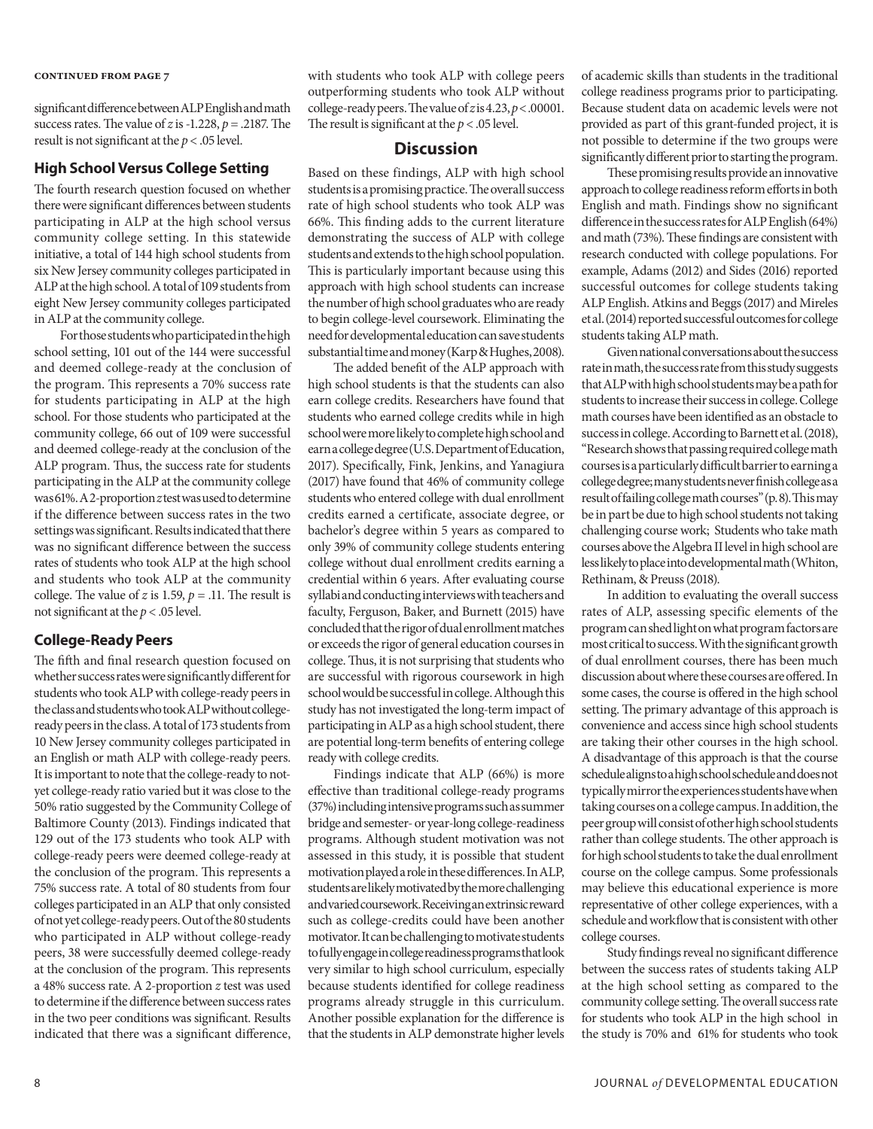significant difference between ALP English and math success rates. The value of *z* is -1.228, *p* = .2187. The result is not significant at the *p* < .05 level.

#### **High School Versus College Setting**

The fourth research question focused on whether there were significant differences between students participating in ALP at the high school versus community college setting. In this statewide initiative, a total of 144 high school students from six New Jersey community colleges participated in ALP at the high school. A total of 109 students from eight New Jersey community colleges participated in ALP at the community college.

For those students who participated in the high school setting, 101 out of the 144 were successful and deemed college-ready at the conclusion of the program. This represents a 70% success rate for students participating in ALP at the high school. For those students who participated at the community college, 66 out of 109 were successful and deemed college-ready at the conclusion of the ALP program. Thus, the success rate for students participating in the ALP at the community college was 61%. A 2-proportion *z* test was used to determine if the difference between success rates in the two settings was significant. Results indicated that there was no significant difference between the success rates of students who took ALP at the high school and students who took ALP at the community college. The value of *z* is 1.59,  $p = .11$ . The result is not significant at the *p* < .05 level.

#### **College-Ready Peers**

The fifth and final research question focused on whether success rates were significantly different for students who took ALP with college-ready peers in the class and students who took ALP without collegeready peers in the class. A total of 173 students from 10 New Jersey community colleges participated in an English or math ALP with college-ready peers. It is important to note that the college-ready to notyet college-ready ratio varied but it was close to the 50% ratio suggested by the Community College of Baltimore County (2013). Findings indicated that 129 out of the 173 students who took ALP with college-ready peers were deemed college-ready at the conclusion of the program. This represents a 75% success rate. A total of 80 students from four colleges participated in an ALP that only consisted of not yet college-ready peers. Out of the 80 students who participated in ALP without college-ready peers, 38 were successfully deemed college-ready at the conclusion of the program. This represents a 48% success rate. A 2-proportion *z* test was used to determine if the difference between success rates in the two peer conditions was significant. Results indicated that there was a significant difference,

with students who took ALP with college peers outperforming students who took ALP without college-ready peers. The value of *z* is 4.23, *p* < .00001. The result is significant at the *p* < .05 level.

#### **Discussion**

Based on these findings, ALP with high school students is a promising practice. The overall success rate of high school students who took ALP was 66%. This finding adds to the current literature demonstrating the success of ALP with college students and extends to the high school population. This is particularly important because using this approach with high school students can increase the number of high school graduates who are ready to begin college-level coursework. Eliminating the need for developmental education can save students substantial time and money (Karp & Hughes, 2008).

The added benefit of the ALP approach with high school students is that the students can also earn college credits. Researchers have found that students who earned college credits while in high school were more likely to complete high school and earn a college degree (U.S. Department of Education, 2017). Specifically, Fink, Jenkins, and Yanagiura (2017) have found that 46% of community college students who entered college with dual enrollment credits earned a certificate, associate degree, or bachelor's degree within 5 years as compared to only 39% of community college students entering college without dual enrollment credits earning a credential within 6 years. After evaluating course syllabi and conducting interviews with teachers and faculty, Ferguson, Baker, and Burnett (2015) have concluded that the rigor of dual enrollment matches or exceeds the rigor of general education courses in college. Thus, it is not surprising that students who are successful with rigorous coursework in high school would be successful in college. Although this study has not investigated the long-term impact of participating in ALP as a high school student, there are potential long-term benefits of entering college ready with college credits.

Findings indicate that ALP (66%) is more effective than traditional college-ready programs (37%) including intensive programs such as summer bridge and semester- or year-long college-readiness programs. Although student motivation was not assessed in this study, it is possible that student motivation played a role in these differences. In ALP, students are likely motivated by the more challenging and varied coursework. Receiving an extrinsic reward such as college-credits could have been another motivator. It can be challenging to motivate students to fully engage in college readiness programs that look very similar to high school curriculum, especially because students identified for college readiness programs already struggle in this curriculum. Another possible explanation for the difference is that the students in ALP demonstrate higher levels

of academic skills than students in the traditional college readiness programs prior to participating. Because student data on academic levels were not provided as part of this grant-funded project, it is not possible to determine if the two groups were significantly different prior to starting the program.

These promising results provide an innovative approach to college readiness reform efforts in both English and math. Findings show no significant difference in the success rates for ALP English (64%) and math (73%). These findings are consistent with research conducted with college populations. For example, Adams (2012) and Sides (2016) reported successful outcomes for college students taking ALP English. Atkins and Beggs (2017) and Mireles et al. (2014) reported successful outcomes for college students taking ALP math.

Given national conversations about the success rate in math, the success rate from this study suggests that ALP with high school students may be a path for students to increase their success in college. College math courses have been identified as an obstacle to success in college. According to Barnett et al. (2018), "Research shows that passing required college math courses is a particularly difficult barrier to earning a college degree; many students never finish college as a result of failing college math courses" (p. 8). This may be in part be due to high school students not taking challenging course work; Students who take math courses above the Algebra II level in high school are less likely to place into developmental math (Whiton, Rethinam, & Preuss (2018).

In addition to evaluating the overall success rates of ALP, assessing specific elements of the program can shed light on what program factors are most critical to success. With the significant growth of dual enrollment courses, there has been much discussion about where these courses are offered. In some cases, the course is offered in the high school setting. The primary advantage of this approach is convenience and access since high school students are taking their other courses in the high school. A disadvantage of this approach is that the course schedule aligns to a high school schedule and does not typically mirror the experiences students have when taking courses on a college campus. In addition, the peer group will consist of other high school students rather than college students. The other approach is for high school students to take the dual enrollment course on the college campus. Some professionals may believe this educational experience is more representative of other college experiences, with a schedule and workflow that is consistent with other college courses.

Study findings reveal no significant difference between the success rates of students taking ALP at the high school setting as compared to the community college setting. The overall success rate for students who took ALP in the high school in the study is 70% and 61% for students who took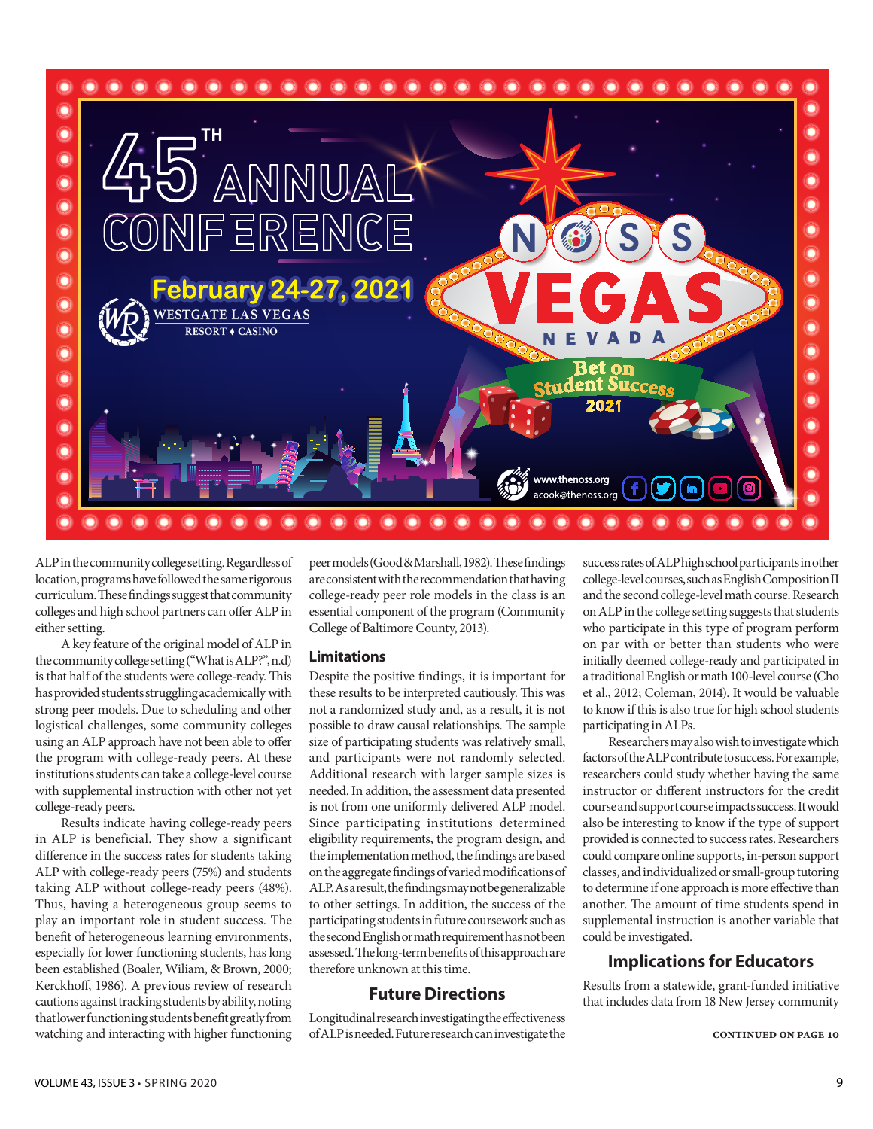

ALP in the community college setting. Regardless of location, programs have followed the same rigorous curriculum. These findings suggest that community colleges and high school partners can offer ALP in either setting.

A key feature of the original model of ALP in the community college setting ("What is ALP?", n.d) is that half of the students were college-ready. This has provided students struggling academically with strong peer models. Due to scheduling and other logistical challenges, some community colleges using an ALP approach have not been able to offer the program with college-ready peers. At these institutions students can take a college-level course with supplemental instruction with other not yet college-ready peers.

Results indicate having college-ready peers in ALP is beneficial. They show a significant difference in the success rates for students taking ALP with college-ready peers (75%) and students taking ALP without college-ready peers (48%). Thus, having a heterogeneous group seems to play an important role in student success. The benefit of heterogeneous learning environments, especially for lower functioning students, has long been established (Boaler, Wiliam, & Brown, 2000; Kerckhoff, 1986). A previous review of research cautions against tracking students by ability, noting that lower functioning students benefit greatly from watching and interacting with higher functioning

peer models (Good & Marshall, 1982). These findings are consistent with the recommendation that having college-ready peer role models in the class is an essential component of the program (Community College of Baltimore County, 2013).

#### **Limitations**

Despite the positive findings, it is important for these results to be interpreted cautiously. This was not a randomized study and, as a result, it is not possible to draw causal relationships. The sample size of participating students was relatively small, and participants were not randomly selected. Additional research with larger sample sizes is needed. In addition, the assessment data presented is not from one uniformly delivered ALP model. Since participating institutions determined eligibility requirements, the program design, and the implementation method, the findings are based on the aggregate findings of varied modifications of ALP. As a result, the findings may not be generalizable to other settings. In addition, the success of the participating students in future coursework such as the second English or math requirement has not been assessed. The long-term benefits of this approach are therefore unknown at this time.

#### **Future Directions**

Longitudinal research investigating the effectiveness of ALP is needed. Future research can investigate the success rates of ALP high school participants in other college-level courses, such as English Composition II and the second college-level math course. Research on ALP in the college setting suggests that students who participate in this type of program perform on par with or better than students who were initially deemed college-ready and participated in a traditional English or math 100-level course (Cho et al., 2012; Coleman, 2014). It would be valuable to know if this is also true for high school students participating in ALPs.

Researchers may also wish to investigate which factors of the ALP contribute to success. For example, researchers could study whether having the same instructor or different instructors for the credit course and support course impacts success. It would also be interesting to know if the type of support provided is connected to success rates. Researchers could compare online supports, in-person support classes, and individualized or small-group tutoring to determine if one approach is more effective than another. The amount of time students spend in supplemental instruction is another variable that could be investigated.

# **Implications for Educators**

Results from a statewide, grant-funded initiative that includes data from 18 New Jersey community

**continued on page 10**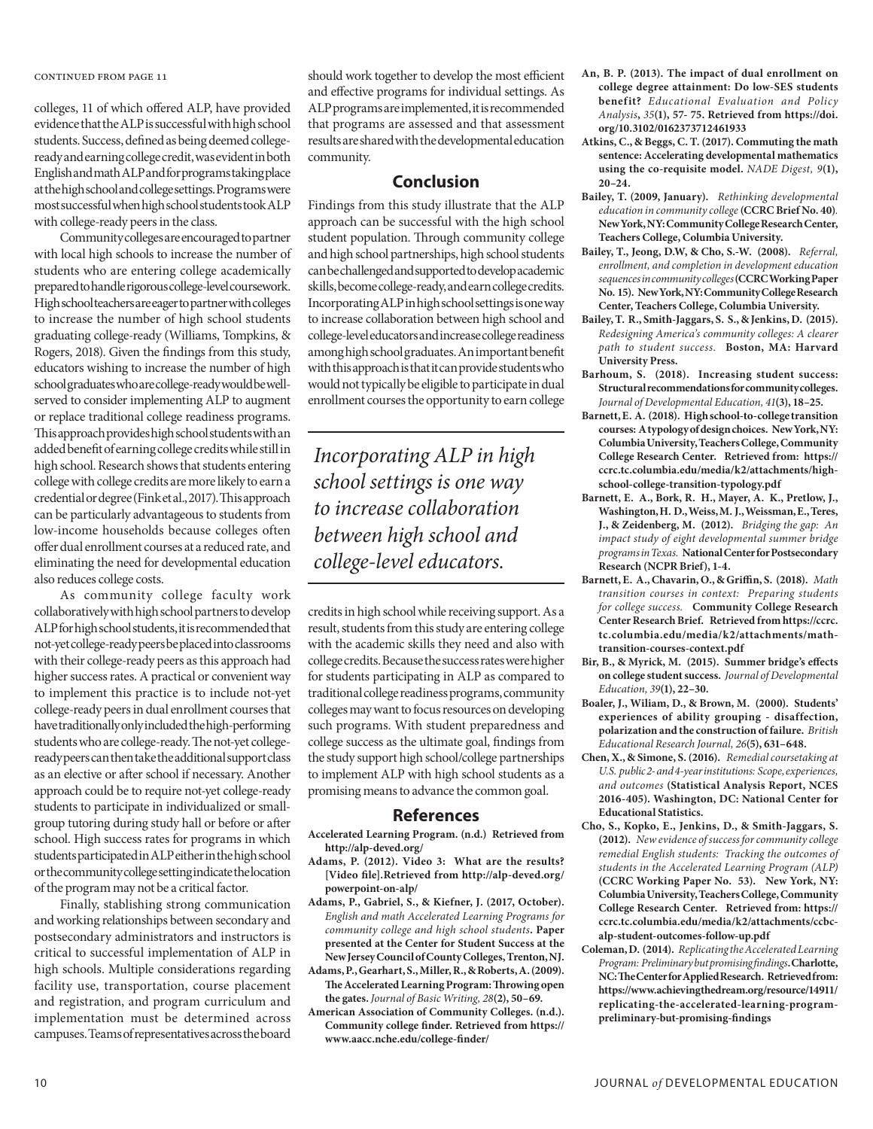colleges, 11 of which offered ALP, have provided evidence that the ALP is successful with high school students. Success, defined as being deemed collegeready and earning college credit, was evident in both English and math ALP and for programs taking place at the high school and college settings. Programs were most successful when high school students took ALP with college-ready peers in the class.

Community colleges are encouraged to partner with local high schools to increase the number of students who are entering college academically prepared to handle rigorous college-level coursework. High school teachers are eager to partner with colleges to increase the number of high school students graduating college-ready (Williams, Tompkins, & Rogers, 2018). Given the findings from this study, educators wishing to increase the number of high school graduates who are college-ready would be wellserved to consider implementing ALP to augment or replace traditional college readiness programs. This approach provides high school students with an added benefit of earning college credits while still in high school. Research shows that students entering college with college credits are more likely to earn a credential or degree (Fink et al., 2017). This approach can be particularly advantageous to students from low-income households because colleges often offer dual enrollment courses at a reduced rate, and eliminating the need for developmental education also reduces college costs.

As community college faculty work collaboratively with high school partners to develop ALP for high school students, it is recommended that not-yet college-ready peers be placed into classrooms with their college-ready peers as this approach had higher success rates. A practical or convenient way to implement this practice is to include not-yet college-ready peers in dual enrollment courses that have traditionally only included the high-performing students who are college-ready. The not-yet collegeready peers can then take the additional support class as an elective or after school if necessary. Another approach could be to require not-yet college-ready students to participate in individualized or smallgroup tutoring during study hall or before or after school. High success rates for programs in which students participated in ALP either in the high school or the community college setting indicate the location of the program may not be a critical factor.

Finally, stablishing strong communication and working relationships between secondary and postsecondary administrators and instructors is critical to successful implementation of ALP in high schools. Multiple considerations regarding facility use, transportation, course placement and registration, and program curriculum and implementation must be determined across campuses. Teams of representatives across the board

should work together to develop the most efficient and effective programs for individual settings. As ALP programs are implemented, it is recommended that programs are assessed and that assessment results are shared with the developmental education community.

#### **Conclusion**

Findings from this study illustrate that the ALP approach can be successful with the high school student population. Through community college and high school partnerships, high school students can be challenged and supported to develop academic skills, become college-ready, and earn college credits. Incorporating ALP in high school settings is one way to increase collaboration between high school and college-level educators and increase college readiness among high school graduates. An important benefit with this approach is that it can provide students who would not typically be eligible to participate in dual enrollment courses the opportunity to earn college

*Incorporating ALP in high school settings is one way to increase collaboration between high school and college-level educators.*

credits in high school while receiving support. As a result, students from this study are entering college with the academic skills they need and also with college credits. Because the success rates were higher for students participating in ALP as compared to traditional college readiness programs, community colleges may want to focus resources on developing such programs. With student preparedness and college success as the ultimate goal, findings from the study support high school/college partnerships to implement ALP with high school students as a promising means to advance the common goal.

#### **References**

- **Accelerated Learning Program. (n.d.) Retrieved from http://alp-deved.org/**
- **Adams, P. (2012). Video 3: What are the results? [Video file].Retrieved from http://alp-deved.org/ powerpoint-on-alp/**
- **Adams, P., Gabriel, S., & Kiefner, J. (2017, October).**  *English and math Accelerated Learning Programs for community college and high school students***. Paper presented at the Center for Student Success at the New Jersey Council of County Colleges, Trenton, NJ.**
- **Adams, P., Gearhart, S., Miller, R., & Roberts, A. (2009). The Accelerated Learning Program: Throwing open the gates.** *Journal of Basic Writing, 28***(2), 50–69.**
- **American Association of Community Colleges. (n.d.). Community college finder. Retrieved from https:// www.aacc.nche.edu/college-finder/**
- **An, B. P. (2013). The impact of dual enrollment on college degree attainment: Do low-SES students benefit?**  *Educational Evaluation and Policy Analysis***,** *35***(1), 57- 75. Retrieved from https://doi. org/10.3102/0162373712461933**
- **Atkins, C., & Beggs, C. T. (2017). Commuting the math sentence: Accelerating developmental mathematics using the co-requisite model.** *NADE Digest, 9***(1), 20–24.**
- **Bailey, T. (2009, January).** *Rethinking developmental education in community college* **(CCRC Brief No. 40)***.*  **New York, NY: Community College Research Center, Teachers College, Columbia University.**
- **Bailey, T., Jeong, D.W, & Cho, S.-W. (2008).** *Referral, enrollment, and completion in development education sequences in community colleges* **(CCRC Working Paper No. 15).****New York, NY: Community College Research Center, Teachers College, Columbia University.**
- **Bailey, T. R., Smith-Jaggars, S. S., & Jenkins, D. (2015).**  *Redesigning America's community colleges: A clearer path to student success.* **Boston, MA: Harvard University Press.**
- **Barhoum, S. (2018). Increasing student success: Structural recommendations for community colleges.**  *Journal of Developmental Education, 41***(3), 18–25.**
- **Barnett, E. A. (2018). High school-to-college transition courses: A typology of design choices. New York, NY: Columbia University, Teachers College, Community College Research Center. Retrieved from: https:// ccrc.tc.columbia.edu/media/k2/attachments/highschool-college-transition-typology.pdf**
- **Barnett, E. A., Bork, R. H., Mayer, A. K., Pretlow, J., Washington, H. D., Weiss, M. J., Weissman, E., Teres, J., & Zeidenberg, M. (2012).** *Bridging the gap: An impact study of eight developmental summer bridge programs in Texas.* **National Center for Postsecondary Research (NCPR Brief), 1-4.**
- **Barnett, E. A., Chavarin, O., & Griffin, S. (2018).** *Math transition courses in context: Preparing students for college success.* **Community College Research Center Research Brief. Retrieved from https://ccrc. tc.columbia.edu/media/k2/attachments/mathtransition-courses-context.pdf**
- **Bir, B., & Myrick, M. (2015). Summer bridge's effects on college student success.** *Journal of Developmental Education, 39***(1), 22–30.**
- **Boaler, J., Wiliam, D., & Brown, M. (2000). Students' experiences of ability grouping - disaffection, polarization and the construction of failure.** *British Educational Research Journal, 26***(5), 631–648.**
- **Chen, X., & Simone, S. (2016).** *Remedial coursetaking at U.S. public 2- and 4-year institutions: Scope, experiences, and outcomes* **(Statistical Analysis Report, NCES 2016-405). Washington, DC: National Center for Educational Statistics.**
- **Cho, S., Kopko, E., Jenkins, D., & Smith-Jaggars, S. (2012).** *New evidence of success for community college remedial English students: Tracking the outcomes of students in the Accelerated Learning Program (ALP)*  **(CCRC Working Paper No. 53). New York, NY: Columbia University, Teachers College, Community College Research Center. Retrieved from: https:// ccrc.tc.columbia.edu/media/k2/attachments/ccbcalp-student-outcomes-follow-up.pdf**
- **Coleman, D. (2014).** *Replicating the Accelerated Learning Program: Preliminary but promising findings***. Charlotte, NC: The Center for Applied Research. Retrieved from: https://www.achievingthedream.org/resource/14911/ replicating-the-accelerated-learning-programpreliminary-but-promising-findings**